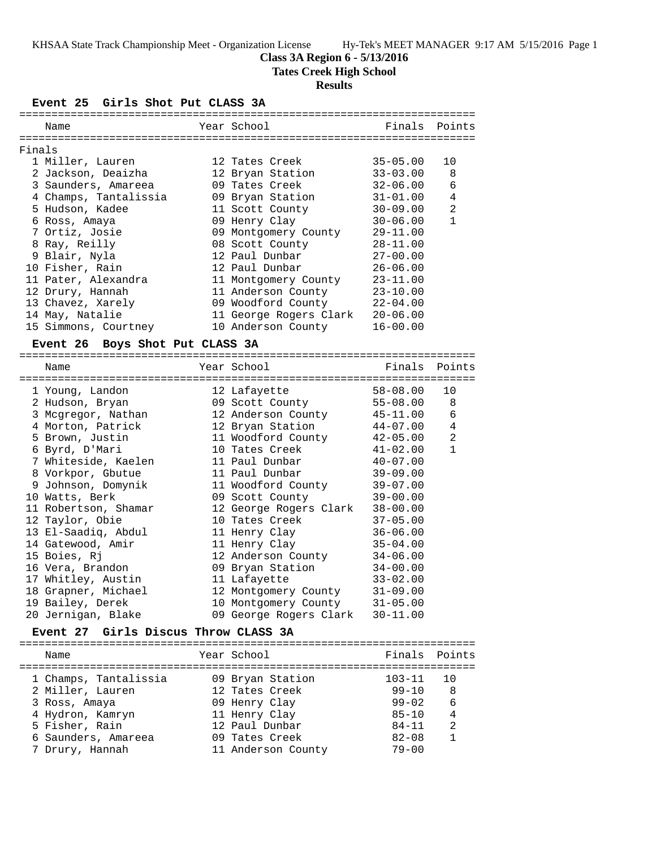### **Class 3A Region 6 - 5/13/2016**

**Tates Creek High School**

### **Results**

**Event 25 Girls Shot Put CLASS 3A**

|        | Name                                      | Year School            | Finals       | Points         |
|--------|-------------------------------------------|------------------------|--------------|----------------|
| Finals |                                           |                        |              |                |
|        | 1 Miller, Lauren                          | 12 Tates Creek         | $35 - 05.00$ | 10             |
|        | 2 Jackson, Deaizha                        | 12 Bryan Station       | $33 - 03.00$ | 8              |
|        | 3 Saunders, Amareea                       | 09 Tates Creek         | $32 - 06.00$ | 6              |
|        | 4 Champs, Tantalissia                     | 09 Bryan Station       | $31 - 01.00$ | 4              |
|        | 5 Hudson, Kadee                           | 11 Scott County        | $30 - 09.00$ | $\overline{a}$ |
|        | 6 Ross, Amaya                             | 09 Henry Clay          | $30 - 06.00$ | $\mathbf{1}$   |
|        | 7 Ortiz, Josie                            | 09 Montgomery County   | 29-11.00     |                |
|        | 8 Ray, Reilly                             | 08 Scott County        | 28-11.00     |                |
|        | 9 Blair, Nyla                             | 12 Paul Dunbar         | 27-00.00     |                |
|        | 10 Fisher, Rain                           | 12 Paul Dunbar         | $26 - 06.00$ |                |
|        | 11 Pater, Alexandra                       | 11 Montgomery County   | 23-11.00     |                |
|        | 12 Drury, Hannah                          | 11 Anderson County     | $23 - 10.00$ |                |
|        | 13 Chavez, Xarely                         | 09 Woodford County     | 22-04.00     |                |
|        | 14 May, Natalie                           | 11 George Rogers Clark | $20 - 06.00$ |                |
|        | 15 Simmons, Courtney                      | 10 Anderson County     | $16 - 00.00$ |                |
|        | Boys Shot Put CLASS 3A<br><b>Event 26</b> |                        |              |                |
|        |                                           |                        |              |                |
|        | Name                                      | Year School            | Finals       | Points         |
|        | 1 Young, Landon                           | 12 Lafayette           | $58 - 08.00$ | 10             |
|        | 2 Hudson, Bryan                           | 09 Scott County        | $55 - 08.00$ | 8              |
|        | 3 Mcgregor, Nathan                        | 12 Anderson County     | $45 - 11.00$ | 6              |
|        | 4 Morton, Patrick                         | 12 Bryan Station       | 44-07.00     | 4              |
|        | 5 Brown, Justin                           | 11 Woodford County     | $42 - 05.00$ | $\overline{a}$ |
|        | 6 Byrd, D'Mari                            | 10 Tates Creek         | $41 - 02.00$ | $\mathbf{1}$   |
|        | 7 Whiteside, Kaelen                       | 11 Paul Dunbar         | $40 - 07.00$ |                |
|        | 8 Vorkpor, Gbutue                         | 11 Paul Dunbar         | $39 - 09.00$ |                |
|        | 9 Johnson, Domynik                        | 11 Woodford County     | $39 - 07.00$ |                |
|        | 10 Watts, Berk                            | 09 Scott County        | $39 - 00.00$ |                |
|        | 11 Robertson, Shamar                      | 12 George Rogers Clark | $38 - 00.00$ |                |
|        | 12 Taylor, Obie                           | 10 Tates Creek         | $37 - 05.00$ |                |
|        | 13 El-Saadiq, Abdul                       | 11 Henry Clay          | $36 - 06.00$ |                |
|        | 14 Gatewood, Amir                         | 11 Henry Clay          | $35 - 04.00$ |                |
|        | 15 Boies, Rj                              | 12 Anderson County     | $34 - 06.00$ |                |
|        | 16 Vera, Brandon                          | 09 Bryan Station       | $34 - 00.00$ |                |
|        | 17 Whitley, Austin                        | 11 Lafayette           | $33 - 02.00$ |                |
|        | 18 Grapner, Michael                       | 12 Montgomery County   | $31 - 09.00$ |                |
|        | 19 Bailey, Derek                          | 10 Montgomery County   | $31 - 05.00$ |                |
|        | 20 Jernigan, Blake                        | 09 George Rogers Clark | 30-11.00     |                |

#### **Event 27 Girls Discus Throw CLASS 3A**

| Name                  | Year School        | Finals Points |                |
|-----------------------|--------------------|---------------|----------------|
| 1 Champs, Tantalissia | 09 Bryan Station   | $103 - 11$    | 10             |
| 2 Miller, Lauren      | 12 Tates Creek     | $99 - 10$     | 8              |
| 3 Ross, Amaya         | 09 Henry Clay      | $99 - 02$     | - 6            |
| 4 Hydron, Kamryn      | 11 Henry Clay      | $85 - 10$     | $\overline{4}$ |
| 5 Fisher, Rain        | 12 Paul Dunbar     | $84 - 11$     | 2              |
| 6 Saunders, Amareea   | 09 Tates Creek     | $82 - 08$     |                |
| 7 Drury, Hannah       | 11 Anderson County | $79 - 00$     |                |
|                       |                    |               |                |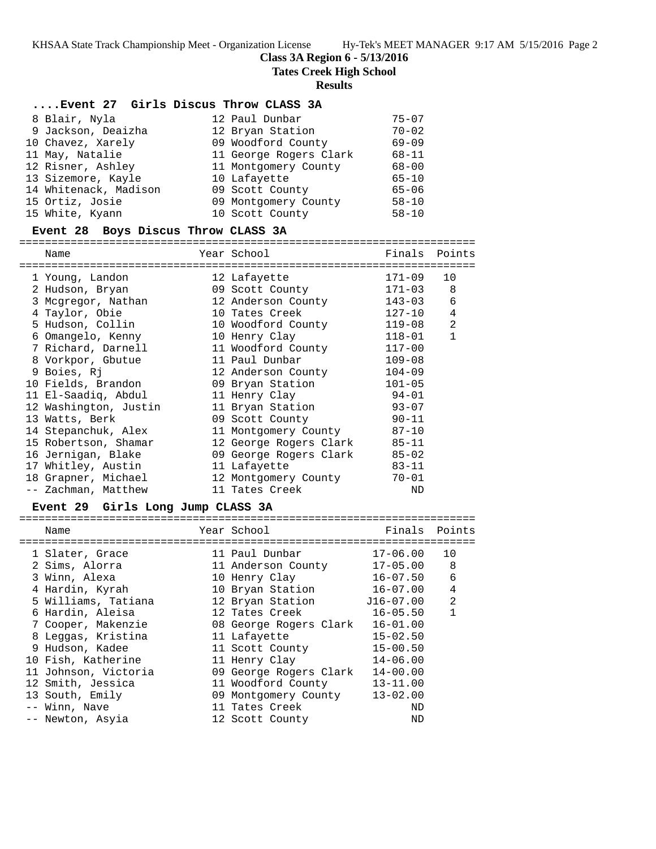**Class 3A Region 6 - 5/13/2016**

**Tates Creek High School**

#### **Results**

#### **....Event 27 Girls Discus Throw CLASS 3A**

| 8 Blair, Nyla         | 12 Paul Dunbar         | $75 - 07$ |
|-----------------------|------------------------|-----------|
| 9 Jackson, Deaizha    | 12 Bryan Station       | $70 - 02$ |
| 10 Chavez, Xarely     | 09 Woodford County     | $69 - 09$ |
| 11 May, Natalie       | 11 George Rogers Clark | $68 - 11$ |
| 12 Risner, Ashley     | 11 Montgomery County   | $68 - 00$ |
| 13 Sizemore, Kayle    | 10 Lafayette           | $65 - 10$ |
| 14 Whitenack, Madison | 09 Scott County        | $65 - 06$ |
| 15 Ortiz, Josie       | 09 Montgomery County   | $58 - 10$ |
| 15 White, Kyann       | 10 Scott County        | $58 - 10$ |

#### **Event 28 Boys Discus Throw CLASS 3A**

======================================================================= Name Year School Finals Points ======================================================================= 1 Young, Landon 12 Lafayette 171-09 10 2 Hudson, Bryan 09 Scott County 171-03 8 3 Mcgregor, Nathan 12 Anderson County 143-03 6 4 Taylor, Obie 10 Tates Creek 127-10 4 5 Hudson, Collin 10 Woodford County 119-08 2 6 Omangelo, Kenny 10 Henry Clay 118-01 1 7 Richard, Darnell 11 Woodford County 117-00 8 Vorkpor, Gbutue 11 Paul Dunbar 109-08 9 Boies, Rj 12 Anderson County 104-09 10 Fields, Brandon 09 Bryan Station 101-05 11 El-Saadiq, Abdul 11 Henry Clay 94-01 12 Washington, Justin 11 Bryan Station 93-07 13 Watts, Berk 09 Scott County 90-11 14 Stepanchuk, Alex 11 Montgomery County 87-10 15 Robertson, Shamar 12 George Rogers Clark 85-11 16 Jernigan, Blake 09 George Rogers Clark 85-02 17 Whitley, Austin 11 Lafayette 83-11 18 Grapner, Michael 12 Montgomery County 70-01 -- Zachman, Matthew 11 Tates Creek ND

#### **Event 29 Girls Long Jump CLASS 3A**

| Name                 | Year School            | Finals       | Points         |
|----------------------|------------------------|--------------|----------------|
| 1 Slater, Grace      | 11 Paul Dunbar         | $17 - 06.00$ | 10             |
| 2 Sims, Alorra       | 11 Anderson County     | $17 - 05.00$ | 8              |
| 3 Winn, Alexa        | 10 Henry Clay          | $16 - 07.50$ | 6              |
| 4 Hardin, Kyrah      | 10 Bryan Station       | $16 - 07.00$ | 4              |
| 5 Williams, Tatiana  | 12 Bryan Station       | J16-07.00    | $\mathfrak{D}$ |
| 6 Hardin, Aleisa     | 12 Tates Creek         | $16 - 05.50$ |                |
| 7 Cooper, Makenzie   | 08 George Rogers Clark | $16 - 01.00$ |                |
| 8 Leggas, Kristina   | 11 Lafayette           | $15 - 02.50$ |                |
| 9 Hudson, Kadee      | 11 Scott County        | $15 - 00.50$ |                |
| 10 Fish, Katherine   | 11 Henry Clay          | $14 - 06.00$ |                |
| 11 Johnson, Victoria | 09 George Rogers Clark | $14 - 00.00$ |                |
| 12 Smith, Jessica    | 11 Woodford County     | $13 - 11.00$ |                |
| 13 South, Emily      | 09 Montgomery County   | $13 - 02.00$ |                |
| -- Winn, Nave        | 11 Tates Creek         | ND           |                |
| -- Newton, Asyia     | 12 Scott County        | ND           |                |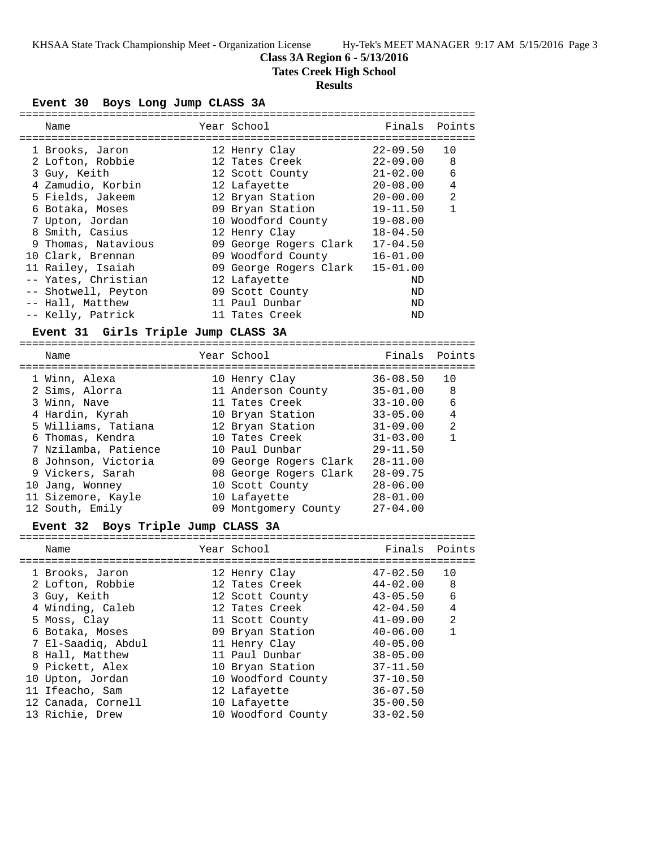# **Class 3A Region 6 - 5/13/2016**

**Tates Creek High School**

# **Results**

**Event 30 Boys Long Jump CLASS 3A**

| Year School<br>Finals<br>Points<br>Name<br>$22 - 09.50$<br>10<br>1 Brooks, Jaron<br>12 Henry Clay<br>$22 - 09.00$<br>8<br>2 Lofton, Robbie<br>12 Tates Creek<br>6<br>3 Guy, Keith<br>12 Scott County<br>$21 - 02.00$<br>4<br>4 Zamudio, Korbin<br>$20 - 08.00$<br>12 Lafayette<br>5 Fields, Jakeem<br>2<br>12 Bryan Station<br>$20 - 00.00$<br>09 Bryan Station<br>$\mathbf{1}$<br>6 Botaka, Moses<br>$19 - 11.50$<br>7 Upton, Jordan<br>10 Woodford County<br>$19 - 08.00$<br>8 Smith, Casius<br>12 Henry Clay<br>$18 - 04.50$<br>09 George Rogers Clark<br>9 Thomas, Natavious<br>$17 - 04.50$<br>10 Clark, Brennan<br>09 Woodford County<br>$16 - 01.00$<br>09 George Rogers Clark<br>11 Railey, Isaiah<br>$15 - 01.00$<br>-- Yates, Christian<br>12 Lafayette<br>ND<br>-- Shotwell, Peyton<br>09 Scott County<br>ND<br>-- Hall, Matthew<br>11 Paul Dunbar<br>ND<br>-- Kelly, Patrick<br>11 Tates Creek<br>ND<br>Event 31 Girls Triple Jump CLASS 3A<br>Year School<br>Finals<br>Points<br>Name<br>$36 - 08.50$<br>1 Winn, Alexa<br>10<br>10 Henry Clay<br>11 Anderson County<br>2 Sims, Alorra<br>$35 - 01.00$<br>8<br>3 Winn, Nave<br>11 Tates Creek<br>$33 - 10.00$<br>6<br>4 Hardin, Kyrah<br>10 Bryan Station<br>$33 - 05.00$<br>4<br>$\overline{a}$<br>5 Williams, Tatiana<br>12 Bryan Station<br>$31 - 09.00$<br>$\mathbf{1}$<br>6 Thomas, Kendra<br>10 Tates Creek<br>$31 - 03.00$<br>7 Nzilamba, Patience<br>10 Paul Dunbar<br>$29 - 11.50$<br>8 Johnson, Victoria<br>09 George Rogers Clark<br>$28 - 11.00$<br>9 Vickers, Sarah<br>08 George Rogers Clark<br>$28 - 09.75$<br>$28 - 06.00$<br>10 Jang, Wonney<br>10 Scott County<br>$28 - 01.00$<br>11 Sizemore, Kayle<br>10 Lafayette<br>09 Montgomery County<br>$27 - 04.00$<br>12 South, Emily<br>Boys Triple Jump CLASS 3A<br><b>Event 32</b><br>Year School<br>Name<br>Finals<br>Points<br>1 Brooks, Jaron<br>12 Henry Clay<br>$47 - 02.50$<br>10<br>2 Lofton, Robbie<br>12 Tates Creek<br>$44 - 02.00$<br>8<br>3 Guy, Keith<br>$43 - 05.50$<br>12 Scott County<br>6<br>4 Winding, Caleb<br>12 Tates Creek<br>$42 - 04.50$<br>4<br>5 Moss, Clay<br>11 Scott County<br>2<br>$41 - 09.00$<br>$\mathbf{1}$<br>09 Bryan Station<br>6 Botaka, Moses<br>$40 - 06.00$<br>7 El-Saadiq, Abdul<br>11 Henry Clay<br>$40 - 05.00$<br>8 Hall, Matthew<br>11 Paul Dunbar<br>$38 - 05.00$<br>9 Pickett, Alex<br>10 Bryan Station<br>$37 - 11.50$<br>10 Upton, Jordan<br>10 Woodford County<br>$37 - 10.50$<br>11 Ifeacho, Sam<br>12 Lafayette<br>$36 - 07.50$<br>10 Lafayette<br>$35 - 00.50$<br>12 Canada, Cornell<br>$33 - 02.50$<br>13 Richie, Drew<br>10 Woodford County |  |  | ==================== |  |
|--------------------------------------------------------------------------------------------------------------------------------------------------------------------------------------------------------------------------------------------------------------------------------------------------------------------------------------------------------------------------------------------------------------------------------------------------------------------------------------------------------------------------------------------------------------------------------------------------------------------------------------------------------------------------------------------------------------------------------------------------------------------------------------------------------------------------------------------------------------------------------------------------------------------------------------------------------------------------------------------------------------------------------------------------------------------------------------------------------------------------------------------------------------------------------------------------------------------------------------------------------------------------------------------------------------------------------------------------------------------------------------------------------------------------------------------------------------------------------------------------------------------------------------------------------------------------------------------------------------------------------------------------------------------------------------------------------------------------------------------------------------------------------------------------------------------------------------------------------------------------------------------------------------------------------------------------------------------------------------------------------------------------------------------------------------------------------------------------------------------------------------------------------------------------------------------------------------------------------------------------------------------------------------------------------------------------------------------------------------------------------------------------------------------------------------------------------------------------------------------------------------------------------------------------------------------------------------------------------------------------------|--|--|----------------------|--|
|                                                                                                                                                                                                                                                                                                                                                                                                                                                                                                                                                                                                                                                                                                                                                                                                                                                                                                                                                                                                                                                                                                                                                                                                                                                                                                                                                                                                                                                                                                                                                                                                                                                                                                                                                                                                                                                                                                                                                                                                                                                                                                                                                                                                                                                                                                                                                                                                                                                                                                                                                                                                                                |  |  |                      |  |
|                                                                                                                                                                                                                                                                                                                                                                                                                                                                                                                                                                                                                                                                                                                                                                                                                                                                                                                                                                                                                                                                                                                                                                                                                                                                                                                                                                                                                                                                                                                                                                                                                                                                                                                                                                                                                                                                                                                                                                                                                                                                                                                                                                                                                                                                                                                                                                                                                                                                                                                                                                                                                                |  |  |                      |  |
|                                                                                                                                                                                                                                                                                                                                                                                                                                                                                                                                                                                                                                                                                                                                                                                                                                                                                                                                                                                                                                                                                                                                                                                                                                                                                                                                                                                                                                                                                                                                                                                                                                                                                                                                                                                                                                                                                                                                                                                                                                                                                                                                                                                                                                                                                                                                                                                                                                                                                                                                                                                                                                |  |  |                      |  |
|                                                                                                                                                                                                                                                                                                                                                                                                                                                                                                                                                                                                                                                                                                                                                                                                                                                                                                                                                                                                                                                                                                                                                                                                                                                                                                                                                                                                                                                                                                                                                                                                                                                                                                                                                                                                                                                                                                                                                                                                                                                                                                                                                                                                                                                                                                                                                                                                                                                                                                                                                                                                                                |  |  |                      |  |
|                                                                                                                                                                                                                                                                                                                                                                                                                                                                                                                                                                                                                                                                                                                                                                                                                                                                                                                                                                                                                                                                                                                                                                                                                                                                                                                                                                                                                                                                                                                                                                                                                                                                                                                                                                                                                                                                                                                                                                                                                                                                                                                                                                                                                                                                                                                                                                                                                                                                                                                                                                                                                                |  |  |                      |  |
|                                                                                                                                                                                                                                                                                                                                                                                                                                                                                                                                                                                                                                                                                                                                                                                                                                                                                                                                                                                                                                                                                                                                                                                                                                                                                                                                                                                                                                                                                                                                                                                                                                                                                                                                                                                                                                                                                                                                                                                                                                                                                                                                                                                                                                                                                                                                                                                                                                                                                                                                                                                                                                |  |  |                      |  |
|                                                                                                                                                                                                                                                                                                                                                                                                                                                                                                                                                                                                                                                                                                                                                                                                                                                                                                                                                                                                                                                                                                                                                                                                                                                                                                                                                                                                                                                                                                                                                                                                                                                                                                                                                                                                                                                                                                                                                                                                                                                                                                                                                                                                                                                                                                                                                                                                                                                                                                                                                                                                                                |  |  |                      |  |
|                                                                                                                                                                                                                                                                                                                                                                                                                                                                                                                                                                                                                                                                                                                                                                                                                                                                                                                                                                                                                                                                                                                                                                                                                                                                                                                                                                                                                                                                                                                                                                                                                                                                                                                                                                                                                                                                                                                                                                                                                                                                                                                                                                                                                                                                                                                                                                                                                                                                                                                                                                                                                                |  |  |                      |  |
|                                                                                                                                                                                                                                                                                                                                                                                                                                                                                                                                                                                                                                                                                                                                                                                                                                                                                                                                                                                                                                                                                                                                                                                                                                                                                                                                                                                                                                                                                                                                                                                                                                                                                                                                                                                                                                                                                                                                                                                                                                                                                                                                                                                                                                                                                                                                                                                                                                                                                                                                                                                                                                |  |  |                      |  |
|                                                                                                                                                                                                                                                                                                                                                                                                                                                                                                                                                                                                                                                                                                                                                                                                                                                                                                                                                                                                                                                                                                                                                                                                                                                                                                                                                                                                                                                                                                                                                                                                                                                                                                                                                                                                                                                                                                                                                                                                                                                                                                                                                                                                                                                                                                                                                                                                                                                                                                                                                                                                                                |  |  |                      |  |
|                                                                                                                                                                                                                                                                                                                                                                                                                                                                                                                                                                                                                                                                                                                                                                                                                                                                                                                                                                                                                                                                                                                                                                                                                                                                                                                                                                                                                                                                                                                                                                                                                                                                                                                                                                                                                                                                                                                                                                                                                                                                                                                                                                                                                                                                                                                                                                                                                                                                                                                                                                                                                                |  |  |                      |  |
|                                                                                                                                                                                                                                                                                                                                                                                                                                                                                                                                                                                                                                                                                                                                                                                                                                                                                                                                                                                                                                                                                                                                                                                                                                                                                                                                                                                                                                                                                                                                                                                                                                                                                                                                                                                                                                                                                                                                                                                                                                                                                                                                                                                                                                                                                                                                                                                                                                                                                                                                                                                                                                |  |  |                      |  |
|                                                                                                                                                                                                                                                                                                                                                                                                                                                                                                                                                                                                                                                                                                                                                                                                                                                                                                                                                                                                                                                                                                                                                                                                                                                                                                                                                                                                                                                                                                                                                                                                                                                                                                                                                                                                                                                                                                                                                                                                                                                                                                                                                                                                                                                                                                                                                                                                                                                                                                                                                                                                                                |  |  |                      |  |
|                                                                                                                                                                                                                                                                                                                                                                                                                                                                                                                                                                                                                                                                                                                                                                                                                                                                                                                                                                                                                                                                                                                                                                                                                                                                                                                                                                                                                                                                                                                                                                                                                                                                                                                                                                                                                                                                                                                                                                                                                                                                                                                                                                                                                                                                                                                                                                                                                                                                                                                                                                                                                                |  |  |                      |  |
|                                                                                                                                                                                                                                                                                                                                                                                                                                                                                                                                                                                                                                                                                                                                                                                                                                                                                                                                                                                                                                                                                                                                                                                                                                                                                                                                                                                                                                                                                                                                                                                                                                                                                                                                                                                                                                                                                                                                                                                                                                                                                                                                                                                                                                                                                                                                                                                                                                                                                                                                                                                                                                |  |  |                      |  |
|                                                                                                                                                                                                                                                                                                                                                                                                                                                                                                                                                                                                                                                                                                                                                                                                                                                                                                                                                                                                                                                                                                                                                                                                                                                                                                                                                                                                                                                                                                                                                                                                                                                                                                                                                                                                                                                                                                                                                                                                                                                                                                                                                                                                                                                                                                                                                                                                                                                                                                                                                                                                                                |  |  |                      |  |
|                                                                                                                                                                                                                                                                                                                                                                                                                                                                                                                                                                                                                                                                                                                                                                                                                                                                                                                                                                                                                                                                                                                                                                                                                                                                                                                                                                                                                                                                                                                                                                                                                                                                                                                                                                                                                                                                                                                                                                                                                                                                                                                                                                                                                                                                                                                                                                                                                                                                                                                                                                                                                                |  |  |                      |  |
|                                                                                                                                                                                                                                                                                                                                                                                                                                                                                                                                                                                                                                                                                                                                                                                                                                                                                                                                                                                                                                                                                                                                                                                                                                                                                                                                                                                                                                                                                                                                                                                                                                                                                                                                                                                                                                                                                                                                                                                                                                                                                                                                                                                                                                                                                                                                                                                                                                                                                                                                                                                                                                |  |  |                      |  |
|                                                                                                                                                                                                                                                                                                                                                                                                                                                                                                                                                                                                                                                                                                                                                                                                                                                                                                                                                                                                                                                                                                                                                                                                                                                                                                                                                                                                                                                                                                                                                                                                                                                                                                                                                                                                                                                                                                                                                                                                                                                                                                                                                                                                                                                                                                                                                                                                                                                                                                                                                                                                                                |  |  |                      |  |
|                                                                                                                                                                                                                                                                                                                                                                                                                                                                                                                                                                                                                                                                                                                                                                                                                                                                                                                                                                                                                                                                                                                                                                                                                                                                                                                                                                                                                                                                                                                                                                                                                                                                                                                                                                                                                                                                                                                                                                                                                                                                                                                                                                                                                                                                                                                                                                                                                                                                                                                                                                                                                                |  |  |                      |  |
|                                                                                                                                                                                                                                                                                                                                                                                                                                                                                                                                                                                                                                                                                                                                                                                                                                                                                                                                                                                                                                                                                                                                                                                                                                                                                                                                                                                                                                                                                                                                                                                                                                                                                                                                                                                                                                                                                                                                                                                                                                                                                                                                                                                                                                                                                                                                                                                                                                                                                                                                                                                                                                |  |  |                      |  |
|                                                                                                                                                                                                                                                                                                                                                                                                                                                                                                                                                                                                                                                                                                                                                                                                                                                                                                                                                                                                                                                                                                                                                                                                                                                                                                                                                                                                                                                                                                                                                                                                                                                                                                                                                                                                                                                                                                                                                                                                                                                                                                                                                                                                                                                                                                                                                                                                                                                                                                                                                                                                                                |  |  |                      |  |
|                                                                                                                                                                                                                                                                                                                                                                                                                                                                                                                                                                                                                                                                                                                                                                                                                                                                                                                                                                                                                                                                                                                                                                                                                                                                                                                                                                                                                                                                                                                                                                                                                                                                                                                                                                                                                                                                                                                                                                                                                                                                                                                                                                                                                                                                                                                                                                                                                                                                                                                                                                                                                                |  |  |                      |  |
|                                                                                                                                                                                                                                                                                                                                                                                                                                                                                                                                                                                                                                                                                                                                                                                                                                                                                                                                                                                                                                                                                                                                                                                                                                                                                                                                                                                                                                                                                                                                                                                                                                                                                                                                                                                                                                                                                                                                                                                                                                                                                                                                                                                                                                                                                                                                                                                                                                                                                                                                                                                                                                |  |  |                      |  |
|                                                                                                                                                                                                                                                                                                                                                                                                                                                                                                                                                                                                                                                                                                                                                                                                                                                                                                                                                                                                                                                                                                                                                                                                                                                                                                                                                                                                                                                                                                                                                                                                                                                                                                                                                                                                                                                                                                                                                                                                                                                                                                                                                                                                                                                                                                                                                                                                                                                                                                                                                                                                                                |  |  |                      |  |
|                                                                                                                                                                                                                                                                                                                                                                                                                                                                                                                                                                                                                                                                                                                                                                                                                                                                                                                                                                                                                                                                                                                                                                                                                                                                                                                                                                                                                                                                                                                                                                                                                                                                                                                                                                                                                                                                                                                                                                                                                                                                                                                                                                                                                                                                                                                                                                                                                                                                                                                                                                                                                                |  |  |                      |  |
|                                                                                                                                                                                                                                                                                                                                                                                                                                                                                                                                                                                                                                                                                                                                                                                                                                                                                                                                                                                                                                                                                                                                                                                                                                                                                                                                                                                                                                                                                                                                                                                                                                                                                                                                                                                                                                                                                                                                                                                                                                                                                                                                                                                                                                                                                                                                                                                                                                                                                                                                                                                                                                |  |  |                      |  |
|                                                                                                                                                                                                                                                                                                                                                                                                                                                                                                                                                                                                                                                                                                                                                                                                                                                                                                                                                                                                                                                                                                                                                                                                                                                                                                                                                                                                                                                                                                                                                                                                                                                                                                                                                                                                                                                                                                                                                                                                                                                                                                                                                                                                                                                                                                                                                                                                                                                                                                                                                                                                                                |  |  |                      |  |
|                                                                                                                                                                                                                                                                                                                                                                                                                                                                                                                                                                                                                                                                                                                                                                                                                                                                                                                                                                                                                                                                                                                                                                                                                                                                                                                                                                                                                                                                                                                                                                                                                                                                                                                                                                                                                                                                                                                                                                                                                                                                                                                                                                                                                                                                                                                                                                                                                                                                                                                                                                                                                                |  |  |                      |  |
|                                                                                                                                                                                                                                                                                                                                                                                                                                                                                                                                                                                                                                                                                                                                                                                                                                                                                                                                                                                                                                                                                                                                                                                                                                                                                                                                                                                                                                                                                                                                                                                                                                                                                                                                                                                                                                                                                                                                                                                                                                                                                                                                                                                                                                                                                                                                                                                                                                                                                                                                                                                                                                |  |  |                      |  |
|                                                                                                                                                                                                                                                                                                                                                                                                                                                                                                                                                                                                                                                                                                                                                                                                                                                                                                                                                                                                                                                                                                                                                                                                                                                                                                                                                                                                                                                                                                                                                                                                                                                                                                                                                                                                                                                                                                                                                                                                                                                                                                                                                                                                                                                                                                                                                                                                                                                                                                                                                                                                                                |  |  |                      |  |
|                                                                                                                                                                                                                                                                                                                                                                                                                                                                                                                                                                                                                                                                                                                                                                                                                                                                                                                                                                                                                                                                                                                                                                                                                                                                                                                                                                                                                                                                                                                                                                                                                                                                                                                                                                                                                                                                                                                                                                                                                                                                                                                                                                                                                                                                                                                                                                                                                                                                                                                                                                                                                                |  |  |                      |  |
|                                                                                                                                                                                                                                                                                                                                                                                                                                                                                                                                                                                                                                                                                                                                                                                                                                                                                                                                                                                                                                                                                                                                                                                                                                                                                                                                                                                                                                                                                                                                                                                                                                                                                                                                                                                                                                                                                                                                                                                                                                                                                                                                                                                                                                                                                                                                                                                                                                                                                                                                                                                                                                |  |  |                      |  |
|                                                                                                                                                                                                                                                                                                                                                                                                                                                                                                                                                                                                                                                                                                                                                                                                                                                                                                                                                                                                                                                                                                                                                                                                                                                                                                                                                                                                                                                                                                                                                                                                                                                                                                                                                                                                                                                                                                                                                                                                                                                                                                                                                                                                                                                                                                                                                                                                                                                                                                                                                                                                                                |  |  |                      |  |
|                                                                                                                                                                                                                                                                                                                                                                                                                                                                                                                                                                                                                                                                                                                                                                                                                                                                                                                                                                                                                                                                                                                                                                                                                                                                                                                                                                                                                                                                                                                                                                                                                                                                                                                                                                                                                                                                                                                                                                                                                                                                                                                                                                                                                                                                                                                                                                                                                                                                                                                                                                                                                                |  |  |                      |  |
|                                                                                                                                                                                                                                                                                                                                                                                                                                                                                                                                                                                                                                                                                                                                                                                                                                                                                                                                                                                                                                                                                                                                                                                                                                                                                                                                                                                                                                                                                                                                                                                                                                                                                                                                                                                                                                                                                                                                                                                                                                                                                                                                                                                                                                                                                                                                                                                                                                                                                                                                                                                                                                |  |  |                      |  |
|                                                                                                                                                                                                                                                                                                                                                                                                                                                                                                                                                                                                                                                                                                                                                                                                                                                                                                                                                                                                                                                                                                                                                                                                                                                                                                                                                                                                                                                                                                                                                                                                                                                                                                                                                                                                                                                                                                                                                                                                                                                                                                                                                                                                                                                                                                                                                                                                                                                                                                                                                                                                                                |  |  |                      |  |
|                                                                                                                                                                                                                                                                                                                                                                                                                                                                                                                                                                                                                                                                                                                                                                                                                                                                                                                                                                                                                                                                                                                                                                                                                                                                                                                                                                                                                                                                                                                                                                                                                                                                                                                                                                                                                                                                                                                                                                                                                                                                                                                                                                                                                                                                                                                                                                                                                                                                                                                                                                                                                                |  |  |                      |  |
|                                                                                                                                                                                                                                                                                                                                                                                                                                                                                                                                                                                                                                                                                                                                                                                                                                                                                                                                                                                                                                                                                                                                                                                                                                                                                                                                                                                                                                                                                                                                                                                                                                                                                                                                                                                                                                                                                                                                                                                                                                                                                                                                                                                                                                                                                                                                                                                                                                                                                                                                                                                                                                |  |  |                      |  |
|                                                                                                                                                                                                                                                                                                                                                                                                                                                                                                                                                                                                                                                                                                                                                                                                                                                                                                                                                                                                                                                                                                                                                                                                                                                                                                                                                                                                                                                                                                                                                                                                                                                                                                                                                                                                                                                                                                                                                                                                                                                                                                                                                                                                                                                                                                                                                                                                                                                                                                                                                                                                                                |  |  |                      |  |
|                                                                                                                                                                                                                                                                                                                                                                                                                                                                                                                                                                                                                                                                                                                                                                                                                                                                                                                                                                                                                                                                                                                                                                                                                                                                                                                                                                                                                                                                                                                                                                                                                                                                                                                                                                                                                                                                                                                                                                                                                                                                                                                                                                                                                                                                                                                                                                                                                                                                                                                                                                                                                                |  |  |                      |  |
|                                                                                                                                                                                                                                                                                                                                                                                                                                                                                                                                                                                                                                                                                                                                                                                                                                                                                                                                                                                                                                                                                                                                                                                                                                                                                                                                                                                                                                                                                                                                                                                                                                                                                                                                                                                                                                                                                                                                                                                                                                                                                                                                                                                                                                                                                                                                                                                                                                                                                                                                                                                                                                |  |  |                      |  |
|                                                                                                                                                                                                                                                                                                                                                                                                                                                                                                                                                                                                                                                                                                                                                                                                                                                                                                                                                                                                                                                                                                                                                                                                                                                                                                                                                                                                                                                                                                                                                                                                                                                                                                                                                                                                                                                                                                                                                                                                                                                                                                                                                                                                                                                                                                                                                                                                                                                                                                                                                                                                                                |  |  |                      |  |
|                                                                                                                                                                                                                                                                                                                                                                                                                                                                                                                                                                                                                                                                                                                                                                                                                                                                                                                                                                                                                                                                                                                                                                                                                                                                                                                                                                                                                                                                                                                                                                                                                                                                                                                                                                                                                                                                                                                                                                                                                                                                                                                                                                                                                                                                                                                                                                                                                                                                                                                                                                                                                                |  |  |                      |  |
|                                                                                                                                                                                                                                                                                                                                                                                                                                                                                                                                                                                                                                                                                                                                                                                                                                                                                                                                                                                                                                                                                                                                                                                                                                                                                                                                                                                                                                                                                                                                                                                                                                                                                                                                                                                                                                                                                                                                                                                                                                                                                                                                                                                                                                                                                                                                                                                                                                                                                                                                                                                                                                |  |  |                      |  |
|                                                                                                                                                                                                                                                                                                                                                                                                                                                                                                                                                                                                                                                                                                                                                                                                                                                                                                                                                                                                                                                                                                                                                                                                                                                                                                                                                                                                                                                                                                                                                                                                                                                                                                                                                                                                                                                                                                                                                                                                                                                                                                                                                                                                                                                                                                                                                                                                                                                                                                                                                                                                                                |  |  |                      |  |
|                                                                                                                                                                                                                                                                                                                                                                                                                                                                                                                                                                                                                                                                                                                                                                                                                                                                                                                                                                                                                                                                                                                                                                                                                                                                                                                                                                                                                                                                                                                                                                                                                                                                                                                                                                                                                                                                                                                                                                                                                                                                                                                                                                                                                                                                                                                                                                                                                                                                                                                                                                                                                                |  |  |                      |  |
|                                                                                                                                                                                                                                                                                                                                                                                                                                                                                                                                                                                                                                                                                                                                                                                                                                                                                                                                                                                                                                                                                                                                                                                                                                                                                                                                                                                                                                                                                                                                                                                                                                                                                                                                                                                                                                                                                                                                                                                                                                                                                                                                                                                                                                                                                                                                                                                                                                                                                                                                                                                                                                |  |  |                      |  |
|                                                                                                                                                                                                                                                                                                                                                                                                                                                                                                                                                                                                                                                                                                                                                                                                                                                                                                                                                                                                                                                                                                                                                                                                                                                                                                                                                                                                                                                                                                                                                                                                                                                                                                                                                                                                                                                                                                                                                                                                                                                                                                                                                                                                                                                                                                                                                                                                                                                                                                                                                                                                                                |  |  |                      |  |
|                                                                                                                                                                                                                                                                                                                                                                                                                                                                                                                                                                                                                                                                                                                                                                                                                                                                                                                                                                                                                                                                                                                                                                                                                                                                                                                                                                                                                                                                                                                                                                                                                                                                                                                                                                                                                                                                                                                                                                                                                                                                                                                                                                                                                                                                                                                                                                                                                                                                                                                                                                                                                                |  |  |                      |  |
|                                                                                                                                                                                                                                                                                                                                                                                                                                                                                                                                                                                                                                                                                                                                                                                                                                                                                                                                                                                                                                                                                                                                                                                                                                                                                                                                                                                                                                                                                                                                                                                                                                                                                                                                                                                                                                                                                                                                                                                                                                                                                                                                                                                                                                                                                                                                                                                                                                                                                                                                                                                                                                |  |  |                      |  |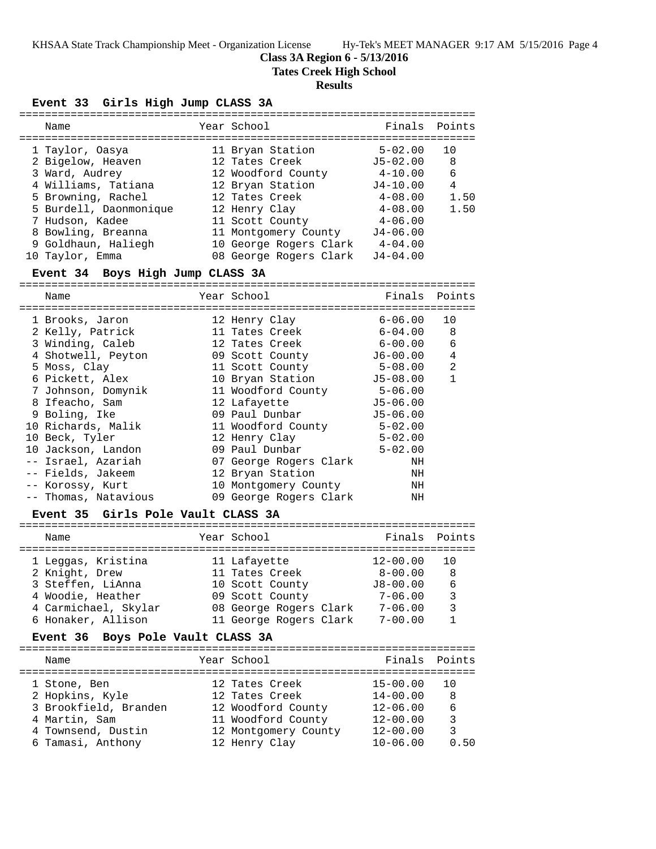### **Class 3A Region 6 - 5/13/2016**

**Tates Creek High School**

# **Results**

# **Event 33 Girls High Jump CLASS 3A**

| Name                               | Year School                            | Finals                | Points       |
|------------------------------------|----------------------------------------|-----------------------|--------------|
| 1 Taylor, Oasya                    | 11 Bryan Station                       | $5 - 02.00$           | 10           |
| 2 Bigelow, Heaven                  | 12 Tates Creek                         | $J5 - 02.00$          | 8            |
| 3 Ward, Audrey                     |                                        | 4-10.00               | 6            |
| 4 Williams, Tatiana                | 12 Woodford County<br>12 Bryan Station | J4-10.00              | 4            |
| 5 Browning, Rachel                 | 12 Tates Creek                         | $4\hbox{--}08$ . $00$ | 1.50         |
| 5 Burdell, Daonmonique             | 12 Henry Clay                          | $4 - 08.00$           | 1.50         |
| 7 Hudson, Kadee                    | 11 Scott County                        | 4-06.00               |              |
| 8 Bowling, Breanna                 | 11 Montgomery County J4-06.00          |                       |              |
| 9 Goldhaun, Haliegh                | 10 George Rogers Clark                 | 4-04.00               |              |
| 10 Taylor, Emma                    | 08 George Rogers Clark                 | $J4 - 04.00$          |              |
| Event 34 Boys High Jump CLASS 3A   |                                        |                       |              |
|                                    |                                        |                       |              |
| Name                               | Year School                            | Finals                | Points       |
|                                    |                                        |                       |              |
| 1 Brooks, Jaron                    | 12 Henry Clay                          | $6 - 06.00$           | 10           |
| 2 Kelly, Patrick                   | 11 Tates Creek                         | $6 - 04.00$           | 8            |
| 3 Winding, Caleb                   | 12 Tates Creek                         | $6-00.00$             | 6            |
| 4 Shotwell, Peyton                 | 09 Scott County                        | J6-00.00              | 4            |
| 5 Moss, Clay                       | 11 Scott County                        | $5 - 08.00$           | 2            |
| 6 Pickett, Alex                    | 10 Bryan Station                       | $J5-08.00$            | $\mathbf{1}$ |
| 7 Johnson, Domynik                 | 11 Woodford County                     | 5-06.00               |              |
| 8 Ifeacho, Sam                     | 12 Lafayette                           | $J5 - 06.00$          |              |
| 9 Boling, Ike                      | 09 Paul Dunbar                         | $J5 - 06.00$          |              |
| 10 Richards, Malik                 | 11 Woodford County                     | $5 - 02.00$           |              |
| 10 Beck, Tyler                     | 12 Henry Clay                          | $5 - 02.00$           |              |
| 10 Jackson, Landon                 | 09 Paul Dunbar                         | $5 - 02.00$           |              |
| -- Israel, Azariah                 | 07 George Rogers Clark                 | ΝH                    |              |
| -- Fields, Jakeem                  | 12 Bryan Station                       | ΝH                    |              |
| -- Korossy, Kurt                   | 10 Montgomery County                   | NH                    |              |
| -- Thomas, Natavious               | 09 George Rogers Clark                 | ΝH                    |              |
| Event 35 Girls Pole Vault CLASS 3A |                                        |                       |              |
| Name                               | Year School                            | Finals                | Points       |
|                                    |                                        |                       |              |
| 1 Leggas, Kristina                 | 11 Lafayette                           | $12 - 00.00$          | 10           |
| 2 Knight, Drew                     | 11 Tates Creek                         | $8-00.00$             | 8            |
| 3 Steffen, LiAnna                  | 10 Scott County J8-00.00               |                       | 6            |
| 4 Woodie, Heather                  | 09 Scott County                        | 7-06.00               | $\mathbf{3}$ |
| 4 Carmichael, Skylar               | 08 George Rogers Clark 7-06.00         |                       | $\mathbf{3}$ |
| 6 Honaker, Allison                 | 11 George Rogers Clark                 | $7 - 00.00$           | $\mathbf{1}$ |
| $Hint 26. Part 24. Hint 23.$       |                                        |                       |              |

### **Event 36 Boys Pole Vault CLASS 3A**

| Name                  | Year School          | Finals Points |      |
|-----------------------|----------------------|---------------|------|
| 1 Stone, Ben          | 12 Tates Creek       | $15 - 00.00$  | 1 O  |
| 2 Hopkins, Kyle       | 12 Tates Creek       | $14 - 00.00$  | 8    |
| 3 Brookfield, Branden | 12 Woodford County   | $12 - 06.00$  | 6    |
| 4 Martin, Sam         | 11 Woodford County   | $12 - 00.00$  | 3    |
| 4 Townsend, Dustin    | 12 Montgomery County | $12 - 00.00$  | 3    |
| 6 Tamasi, Anthony     | 12 Henry Clay        | $10 - 06.00$  | 0.50 |
|                       |                      |               |      |